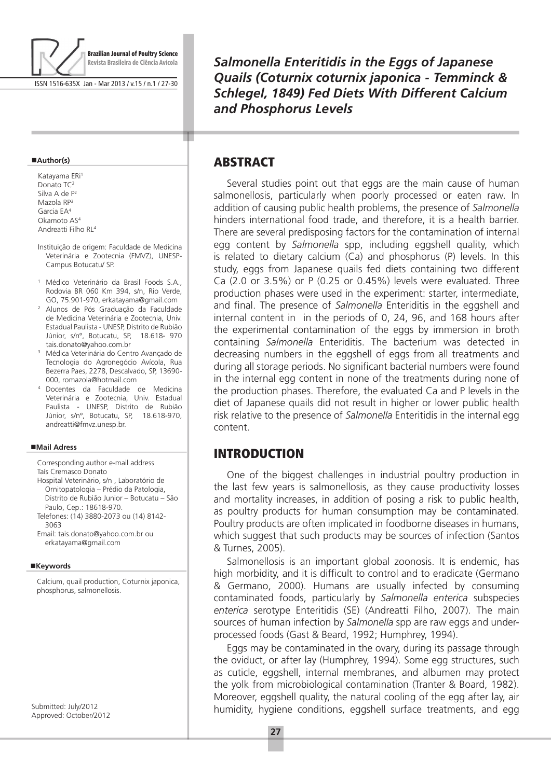

ISSN 1516-635X Jan - Mar 2013 / v.15 / n.1 / 27-30

#### **Author(s)**

- Katayama ERi<sup>1</sup> Donato TC<sup>2</sup> Silva A de P2 Mazola RP3 Garcia EA4 Okamoto AS4 Andreatti Filho RL4
- Instituição de origem: Faculdade de Medicina Veterinária e Zootecnia (FMVZ), UNESP-Campus Botucatu/ SP.
- <sup>1</sup> Médico Veterinário da Brasil Foods S.A., Rodovia BR 060 Km 394, s/n, Rio Verde, GO, 75.901-970, erkatayama@gmail.com
- <sup>2</sup> Alunos de Pós Graduação da Faculdade de Medicina Veterinária e Zootecnia, Univ. Estadual Paulista - UNESP, Distrito de Rubião Júnior, s/nº, Botucatu, SP, 18.618- 970 tais.donato@yahoo.com.br
- <sup>3</sup> Médica Veterinária do Centro Avançado de Tecnologia do Agronegócio Avícola, Rua Bezerra Paes, 2278, Descalvado, SP, 13690-000, romazola@hotmail.com
- <sup>4</sup> Docentes da Faculdade de Medicina Veterinária e Zootecnia, Univ. Estadual Paulista - UNESP, Distrito de Rubião Júnior, s/nº, Botucatu, SP, 18.618-970, andreatti@fmvz.unesp.br.

#### **Mail Adress**

Corresponding author e-mail address Taís Cremasco Donato Hospital Veterinário, s/n , Laboratório de Ornitopatologia – Prédio da Patologia, Distrito de Rubião Junior – Botucatu – São Paulo, Cep.: 18618-970. Telefones: (14) 3880-2073 ou (14) 8142- 3063 Email: tais.donato@yahoo.com.br ou erkatayama@gmail.com

#### **Keywords**

Calcium, quail production, Coturnix japonica, phosphorus, salmonellosis.

Submitted: July/2012 Approved: October/2012

*Salmonella Enteritidis in the Eggs of Japanese Quails (Coturnix coturnix japonica - Temminck & Schlegel, 1849) Fed Diets With Different Calcium and Phosphorus Levels*

### ABSTRACT

т

Several studies point out that eggs are the main cause of human salmonellosis, particularly when poorly processed or eaten raw. In addition of causing public health problems, the presence of *Salmonella* hinders international food trade, and therefore, it is a health barrier. There are several predisposing factors for the contamination of internal egg content by *Salmonella* spp, including eggshell quality, which is related to dietary calcium (Ca) and phosphorus (P) levels. In this study, eggs from Japanese quails fed diets containing two different Ca (2.0 or 3.5%) or P (0.25 or 0.45%) levels were evaluated. Three production phases were used in the experiment: starter, intermediate, and final. The presence of *Salmonella* Enteriditis in the eggshell and internal content in in the periods of 0, 24, 96, and 168 hours after the experimental contamination of the eggs by immersion in broth containing *Salmonella* Enteriditis. The bacterium was detected in decreasing numbers in the eggshell of eggs from all treatments and during all storage periods. No significant bacterial numbers were found in the internal egg content in none of the treatments during none of the production phases. Therefore, the evaluated Ca and P levels in the diet of Japanese quails did not result in higher or lower public health risk relative to the presence of *Salmonella* Enteritidis in the internal egg content.

# **INTRODUCTION**

One of the biggest challenges in industrial poultry production in the last few years is salmonellosis, as they cause productivity losses and mortality increases, in addition of posing a risk to public health, as poultry products for human consumption may be contaminated. Poultry products are often implicated in foodborne diseases in humans, which suggest that such products may be sources of infection (Santos & Turnes, 2005).

Salmonellosis is an important global zoonosis. It is endemic, has high morbidity, and it is difficult to control and to eradicate (Germano & Germano, 2000). Humans are usually infected by consuming contaminated foods, particularly by *Salmonella enterica* subspecies *enterica* serotype Enteritidis (SE) (Andreatti Filho, 2007). The main sources of human infection by *Salmonella* spp are raw eggs and underprocessed foods (Gast & Beard, 1992; Humphrey, 1994).

Eggs may be contaminated in the ovary, during its passage through the oviduct, or after lay (Humphrey, 1994). Some egg structures, such as cuticle, eggshell, internal membranes, and albumen may protect the yolk from microbiological contamination (Tranter & Board, 1982). Moreover, eggshell quality, the natural cooling of the egg after lay, air humidity, hygiene conditions, eggshell surface treatments, and egg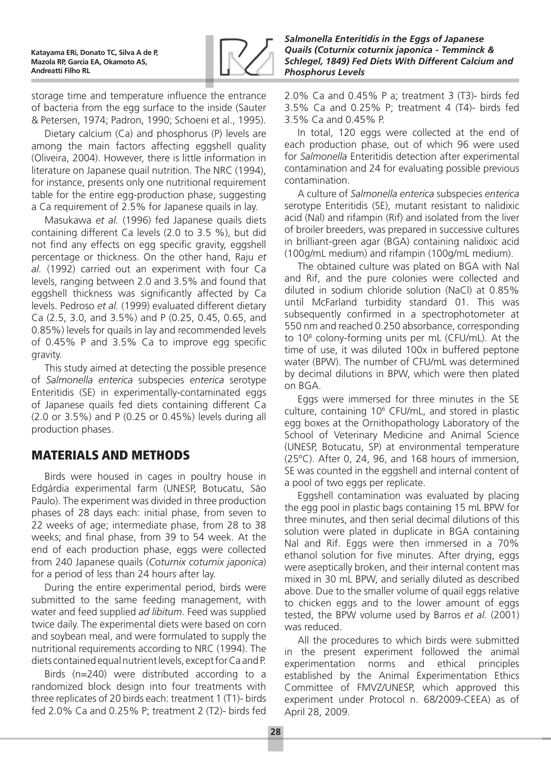

*Salmonella Enteritidis in the Eggs of Japanese Quails (Coturnix coturnix japonica - Temminck & Schlegel, 1849) Fed Diets With Different Calcium and Phosphorus Levels*

storage time and temperature influence the entrance of bacteria from the egg surface to the inside (Sauter & Petersen, 1974; Padron, 1990; Schoeni et al., 1995).

Dietary calcium (Ca) and phosphorus (P) levels are among the main factors affecting eggshell quality (Oliveira, 2004). However, there is little information in literature on Japanese quail nutrition. The NRC (1994), for instance, presents only one nutritional requirement table for the entire egg-production phase, suggesting a Ca requirement of 2.5% for Japanese quails in lay.

Masukawa *et al.* (1996) fed Japanese quails diets containing different Ca levels (2.0 to 3.5 %), but did not find any effects on egg specific gravity, eggshell percentage or thickness. On the other hand, Raju *et al.* (1992) carried out an experiment with four Ca levels, ranging between 2.0 and 3.5% and found that eggshell thickness was significantly affected by Ca levels. Pedroso *et al.* (1999) evaluated different dietary Ca (2.5, 3.0, and 3.5%) and P (0.25, 0.45, 0.65, and 0.85%) levels for quails in lay and recommended levels of 0.45% P and 3.5% Ca to improve egg specific gravity.

This study aimed at detecting the possible presence of *Salmonella enterica* subspecies *enterica* serotype Enteritidis (SE) in experimentally-contaminated eggs of Japanese quails fed diets containing different Ca (2.0 or 3.5%) and P (0.25 or 0.45%) levels during all production phases.

# Materials and Methods

Birds were housed in cages in poultry house in Edgárdia experimental farm (UNESP, Botucatu, São Paulo). The experiment was divided in three production phases of 28 days each: initial phase, from seven to 22 weeks of age; intermediate phase, from 28 to 38 weeks; and final phase, from 39 to 54 week. At the end of each production phase, eggs were collected from 240 Japanese quails (*Coturnix coturnix japonica*) for a period of less than 24 hours after lay.

During the entire experimental period, birds were submitted to the same feeding management, with water and feed supplied *ad libitum*. Feed was supplied twice daily. The experimental diets were based on corn and soybean meal, and were formulated to supply the nutritional requirements according to NRC (1994). The diets contained equal nutrient levels, except for Ca and P.

Birds (n=240) were distributed according to a randomized block design into four treatments with three replicates of 20 birds each: treatment 1 (T1)- birds fed 2.0% Ca and 0.25% P; treatment 2 (T2)- birds fed 2.0% Ca and 0.45% P a; treatment 3 (T3)- birds fed 3.5% Ca and 0.25% P; treatment 4 (T4)- birds fed 3.5% Ca and 0.45% P.

In total, 120 eggs were collected at the end of each production phase, out of which 96 were used for *Salmonella* Enteritidis detection after experimental contamination and 24 for evaluating possible previous contamination.

A culture of *Salmonella enterica* subspecies *enterica* serotype Enteritidis (SE), mutant resistant to nalidixic acid (Nal) and rifampin (Rif) and isolated from the liver of broiler breeders, was prepared in successive cultures in brilliant-green agar (BGA) containing nalidixic acid (100g/mL medium) and rifampin (100g/mL medium).

The obtained culture was plated on BGA with Nal and Rif, and the pure colonies were collected and diluted in sodium chloride solution (NaCl) at 0.85% until McFarland turbidity standard 01. This was subsequently confirmed in a spectrophotometer at 550 nm and reached 0.250 absorbance, corresponding to 108 colony-forming units per mL (CFU/mL). At the time of use, it was diluted 100x in buffered peptone water (BPW). The number of CFU/mL was determined by decimal dilutions in BPW, which were then plated on BGA.

Eggs were immersed for three minutes in the SE culture, containing 106 CFU/mL, and stored in plastic egg boxes at the Ornithopathology Laboratory of the School of Veterinary Medicine and Animal Science (UNESP, Botucatu, SP) at environmental temperature (25ºC). After 0, 24, 96, and 168 hours of immersion, SE was counted in the eggshell and internal content of a pool of two eggs per replicate.

Eggshell contamination was evaluated by placing the egg pool in plastic bags containing 15 mL BPW for three minutes, and then serial decimal dilutions of this solution were plated in duplicate in BGA containing Nal and Rif. Eggs were then immersed in a 70% ethanol solution for five minutes. After drying, eggs were aseptically broken, and their internal content mas mixed in 30 mL BPW, and serially diluted as described above. Due to the smaller volume of quail eggs relative to chicken eggs and to the lower amount of eggs tested, the BPW volume used by Barros *et al.* (2001) was reduced.

All the procedures to which birds were submitted in the present experiment followed the animal experimentation norms and ethical principles established by the Animal Experimentation Ethics Committee of FMVZ/UNESP, which approved this experiment under Protocol n. 68/2009-CEEA) as of April 28, 2009.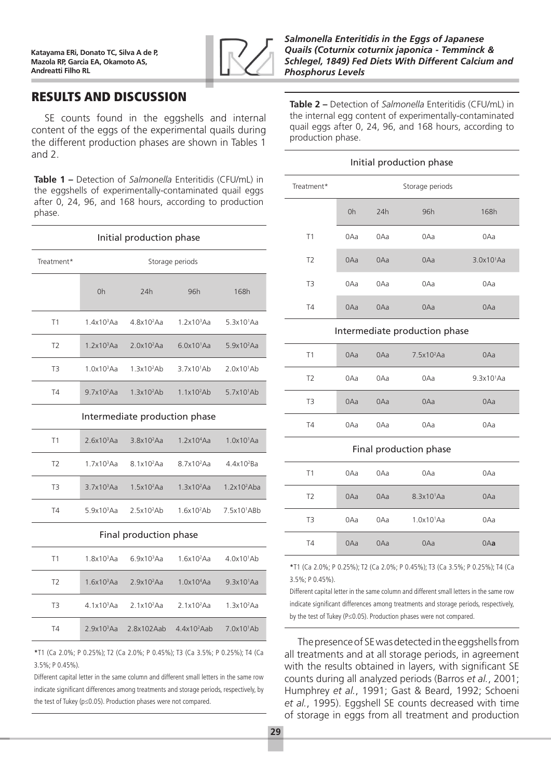

#### *Salmonella Enteritidis in the Eggs of Japanese Quails (Coturnix coturnix japonica - Temminck & Schlegel, 1849) Fed Diets With Different Calcium and Phosphorus Levels*

# Results and Discussion

SE counts found in the eggshells and internal content of the eggs of the experimental quails during the different production phases are shown in Tables 1 and 2.

**Table 1 –** Detection of *Salmonella* Enteritidis (CFU/mL) in the eggshells of experimentally-contaminated quail eggs after 0, 24, 96, and 168 hours, according to production phase.

| Initial production phase                                                     |                        |                        |                        |                         |  |  |
|------------------------------------------------------------------------------|------------------------|------------------------|------------------------|-------------------------|--|--|
| Treatment*                                                                   | Storage periods        |                        |                        |                         |  |  |
|                                                                              | 0h                     | 24h                    | 96h                    | 168h                    |  |  |
| T1                                                                           | 1.4x10 <sup>3</sup> Aa | $4.8x102$ Aa           | 1.2x10 <sup>3</sup> Aa | 5.3x10 <sup>1</sup> Aa  |  |  |
| T <sub>2</sub>                                                               | 1.2x10 <sup>3</sup> Aa | $2.0x10^2Aa$           | 6.0x10 <sup>1</sup> Aa | $5.9x10^2Aa$            |  |  |
| T <sub>3</sub>                                                               | $1.0x10^3Aa$           | $1.3x10^2Ab$           | $3.7x10^{1}Ab$         | $2.0x10^{1}Ab$          |  |  |
| T <sub>4</sub>                                                               | $9.7x10^2Aa$           | $1.3x10^2Ab$           | $1.1x10^2Ab$           | 5.7x10 <sup>1</sup> Ab  |  |  |
| Intermediate production phase                                                |                        |                        |                        |                         |  |  |
| T1                                                                           | $2.6x103$ Aa           | 3.8x10 <sup>2</sup> Aa | 1.2x10 <sup>4</sup> Aa | 1.0x10 <sup>1</sup> Aa  |  |  |
| T <sub>2</sub>                                                               | 1.7x10 <sup>3</sup> Aa | $8.1x10^2Aa$           | $8.7x10^2$ Aa          | $4.4x10^2Ba$            |  |  |
| T3                                                                           | 3.7x10 <sup>3</sup> Aa | $1.5x10^2Aa$           | $1.3x10^2Aa$           | $1.2x10^2$ Aba          |  |  |
| <b>T4</b>                                                                    | 5.9x10 <sup>3</sup> Aa | $2.5x10^2Ab$           | $1.6x10^2Ab$           | 7.5x10 <sup>1</sup> ABb |  |  |
| Final production phase                                                       |                        |                        |                        |                         |  |  |
| T1                                                                           | $1.8x10^3Aa$           | $6.9x103$ Aa           | $1.6x10^2Aa$           | $4.0x10^{1}$ Ab         |  |  |
| T <sub>2</sub>                                                               | 1.6x10 <sup>3</sup> Aa | 2.9x10 <sup>2</sup> Aa | 1.0x10 <sup>4</sup> Aa | 9.3x10 <sup>1</sup> Aa  |  |  |
| T3                                                                           | 4.1x10 <sup>3</sup> Aa | $2.1x10^2Aa$           | $2.1x10^2Aa$           | $1.3x10^2$ Aa           |  |  |
| <b>T4</b>                                                                    | 2.9x10 <sup>3</sup> Aa | 2.8x102Aab             | $4.4x10^2$ Aab         | 7.0x10 <sup>1</sup> Ab  |  |  |
| *T1 (Ca 2 0%; P 0 25%); T2 (Ca 2 0%; P 0 45%); T3 (Ca 3 5%; P 0 25%); T4 (Ca |                        |                        |                        |                         |  |  |

**\***T1 (Ca 2.0%; P 0.25%); T2 (Ca 2.0%; P 0.45%); T3 (Ca 3.5%; P 0.25%); T4 (Ca 3.5%; P 0.45%).

Different capital letter in the same column and different small letters in the same row indicate significant differences among treatments and storage periods, respectively, by the test of Tukey (p≤0.05). Production phases were not compared.

**Table 2 –** Detection of *Salmonella* Enteritidis (CFU/mL) in the internal egg content of experimentally-contaminated quail eggs after 0, 24, 96, and 168 hours, according to production phase.

### Initial production phase

| Treatment*     | Storage periods |     |     |                        |
|----------------|-----------------|-----|-----|------------------------|
|                | 0h              | 24h | 96h | 168h                   |
| T1             | 0Aa             | 0Aa | 0Aa | 0Aa                    |
| T <sub>2</sub> | 0Aa             | 0Aa | 0Aa | 3.0x10 <sup>1</sup> Aa |
| T <sub>3</sub> | 0Aa             | 0Aa | 0Aa | 0Aa                    |
| T <sub>4</sub> | 0Aa             | 0Aa | 0Aa | 0Aa                    |

#### Intermediate production phase

| T1             | 0Aa | 0Aa | $7.5x10^2Aa$ | 0Aa                    |
|----------------|-----|-----|--------------|------------------------|
| T <sub>2</sub> | 0Aa | 0Aa | 0Aa          | 9.3x10 <sup>1</sup> Aa |
| T <sub>3</sub> | 0Aa | 0Aa | 0Aa          | 0Aa                    |
| T <sub>4</sub> | 0Aa | 0Aa | 0Aa          | 0Aa                    |

#### Final production phase

| T1             | 0Aa | 0Aa | 0Aa                    | 0Aa |
|----------------|-----|-----|------------------------|-----|
| T <sub>2</sub> | 0Aa | 0Aa | 8.3x10 <sup>1</sup> Aa | 0Aa |
| T <sub>3</sub> | 0Aa | 0Aa | 1.0x10 <sup>1</sup> Aa | 0Aa |
| T <sub>4</sub> | 0Aa | 0Aa | 0Aa                    | 0Aa |

#### **\***T1 (Ca 2.0%; P 0.25%); T2 (Ca 2.0%; P 0.45%); T3 (Ca 3.5%; P 0.25%); T4 (Ca 3.5%; P 0.45%).

Different capital letter in the same column and different small letters in the same row indicate significant differences among treatments and storage periods, respectively, by the test of Tukey (P≤0.05). Production phases were not compared.

The presence of SE was detected in the eggshells from all treatments and at all storage periods, in agreement with the results obtained in layers, with significant SE counts during all analyzed periods (Barros *et al.*, 2001; Humphrey *et al.*, 1991; Gast & Beard, 1992; Schoeni *et al.*, 1995). Eggshell SE counts decreased with time of storage in eggs from all treatment and production